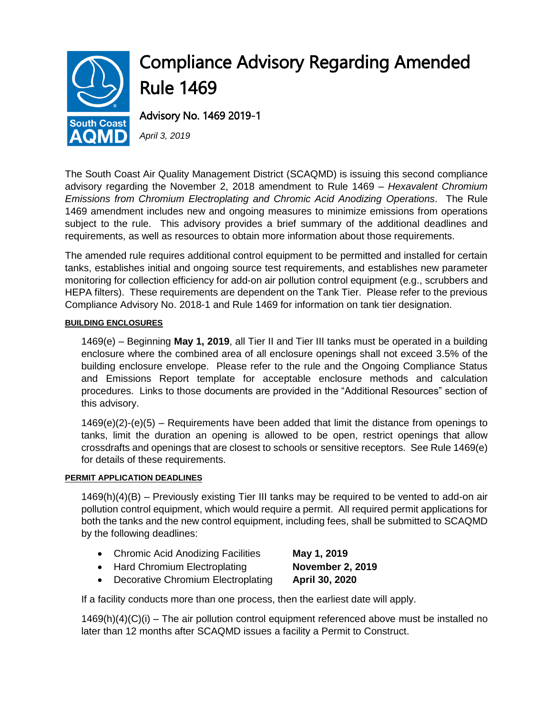

The South Coast Air Quality Management District (SCAQMD) is issuing this second compliance advisory regarding the November 2, 2018 amendment to Rule 1469 – *Hexavalent Chromium Emissions from Chromium Electroplating and Chromic Acid Anodizing Operations*. The Rule 1469 amendment includes new and ongoing measures to minimize emissions from operations subject to the rule. This advisory provides a brief summary of the additional deadlines and requirements, as well as resources to obtain more information about those requirements.

The amended rule requires additional control equipment to be permitted and installed for certain tanks, establishes initial and ongoing source test requirements, and establishes new parameter monitoring for collection efficiency for add-on air pollution control equipment (e.g., scrubbers and HEPA filters). These requirements are dependent on the Tank Tier. Please refer to the previous Compliance Advisory No. 2018-1 and Rule 1469 for information on tank tier designation.

# **BUILDING ENCLOSURES**

1469(e) – Beginning **May 1, 2019**, all Tier II and Tier III tanks must be operated in a building enclosure where the combined area of all enclosure openings shall not exceed 3.5% of the building enclosure envelope. Please refer to the rule and the Ongoing Compliance Status and Emissions Report template for acceptable enclosure methods and calculation procedures. Links to those documents are provided in the "Additional Resources" section of this advisory.

 $1469(e)(2)-(e)(5)$  – Requirements have been added that limit the distance from openings to tanks, limit the duration an opening is allowed to be open, restrict openings that allow crossdrafts and openings that are closest to schools or sensitive receptors. See Rule 1469(e) for details of these requirements.

### **PERMIT APPLICATION DEADLINES**

1469(h)(4)(B) – Previously existing Tier III tanks may be required to be vented to add-on air pollution control equipment, which would require a permit. All required permit applications for both the tanks and the new control equipment, including fees, shall be submitted to SCAQMD by the following deadlines:

- Chromic Acid Anodizing Facilities **May 1, 2019**
- Hard Chromium Electroplating **November 2, 2019**
- Decorative Chromium Electroplating **April 30, 2020**

If a facility conducts more than one process, then the earliest date will apply.

 $1469(h)(4)(C)(i)$  – The air pollution control equipment referenced above must be installed no later than 12 months after SCAQMD issues a facility a Permit to Construct.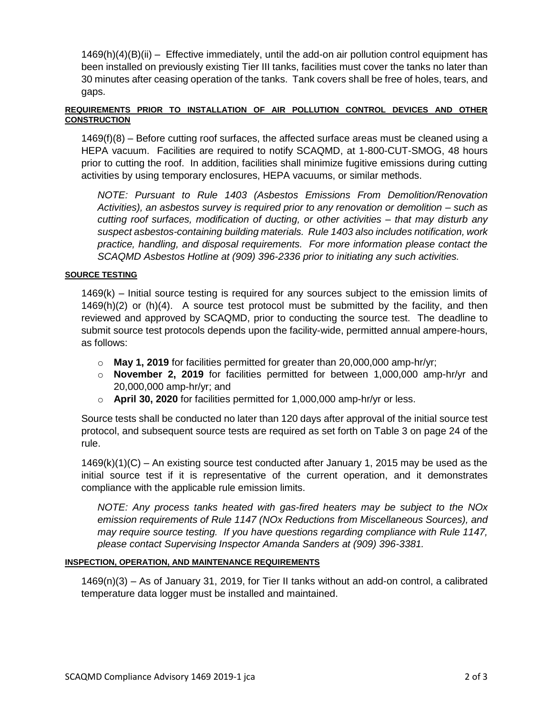1469(h)(4)(B)(ii) – Effective immediately, until the add-on air pollution control equipment has been installed on previously existing Tier III tanks, facilities must cover the tanks no later than 30 minutes after ceasing operation of the tanks. Tank covers shall be free of holes, tears, and gaps.

# **REQUIREMENTS PRIOR TO INSTALLATION OF AIR POLLUTION CONTROL DEVICES AND OTHER CONSTRUCTION**

1469(f)(8) – Before cutting roof surfaces, the affected surface areas must be cleaned using a HEPA vacuum. Facilities are required to notify SCAQMD, at 1-800-CUT-SMOG, 48 hours prior to cutting the roof. In addition, facilities shall minimize fugitive emissions during cutting activities by using temporary enclosures, HEPA vacuums, or similar methods.

*NOTE: Pursuant to Rule 1403 (Asbestos Emissions From Demolition/Renovation Activities), an asbestos survey is required prior to any renovation or demolition – such as cutting roof surfaces, modification of ducting, or other activities – that may disturb any suspect asbestos-containing building materials. Rule 1403 also includes notification, work practice, handling, and disposal requirements. For more information please contact the SCAQMD Asbestos Hotline at (909) 396-2336 prior to initiating any such activities.*

### **SOURCE TESTING**

1469(k) – Initial source testing is required for any sources subject to the emission limits of  $1469(h)(2)$  or (h)(4). A source test protocol must be submitted by the facility, and then reviewed and approved by SCAQMD, prior to conducting the source test. The deadline to submit source test protocols depends upon the facility-wide, permitted annual ampere-hours, as follows:

- o **May 1, 2019** for facilities permitted for greater than 20,000,000 amp-hr/yr;
- o **November 2, 2019** for facilities permitted for between 1,000,000 amp-hr/yr and 20,000,000 amp-hr/yr; and
- o **April 30, 2020** for facilities permitted for 1,000,000 amp-hr/yr or less.

Source tests shall be conducted no later than 120 days after approval of the initial source test protocol, and subsequent source tests are required as set forth on Table 3 on page 24 of the rule.

 $1469(k)(1)(C)$  – An existing source test conducted after January 1, 2015 may be used as the initial source test if it is representative of the current operation, and it demonstrates compliance with the applicable rule emission limits.

*NOTE: Any process tanks heated with gas-fired heaters may be subject to the NOx emission requirements of Rule 1147 (NOx Reductions from Miscellaneous Sources), and may require source testing. If you have questions regarding compliance with Rule 1147, please contact Supervising Inspector Amanda Sanders at (909) 396-3381.*

### **INSPECTION, OPERATION, AND MAINTENANCE REQUIREMENTS**

1469(n)(3) – As of January 31, 2019, for Tier II tanks without an add-on control, a calibrated temperature data logger must be installed and maintained.